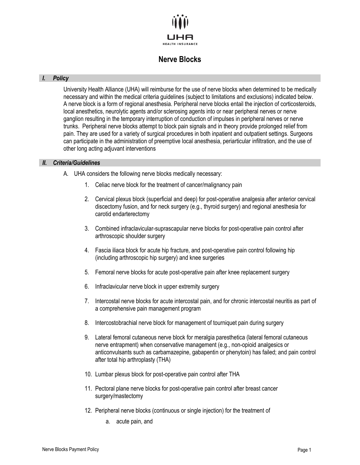

# **Nerve Blocks**

### *I. Policy*

University Health Alliance (UHA) will reimburse for the use of nerve blocks when determined to be medically necessary and within the medical criteria guidelines (subject to limitations and exclusions) indicated below. A nerve block is a form of regional anesthesia. Peripheral nerve blocks entail the injection of corticosteroids, local anesthetics, neurolytic agents and/or sclerosing agents into or near peripheral nerves or nerve ganglion resulting in the temporary interruption of conduction of impulses in peripheral nerves or nerve trunks. Peripheral nerve blocks attempt to block pain signals and in theory provide prolonged relief from pain. They are used for a variety of surgical procedures in both inpatient and outpatient settings. Surgeons can participate in the administration of preemptive local anesthesia, periarticular infiltration, and the use of other long acting adjuvant interventions

# *II. Criteria/Guidelines*

- A. UHA considers the following nerve blocks medically necessary:
	- 1. Celiac nerve block for the treatment of cancer/malignancy pain
	- 2. Cervical plexus block (superficial and deep) for post-operative analgesia after anterior cervical discectomy fusion, and for neck surgery (e.g., thyroid surgery) and regional anesthesia for carotid endarterectomy
	- 3. Combined infraclavicular-suprascapular nerve blocks for post-operative pain control after arthroscopic shoulder surgery
	- 4. Fascia iliaca block for acute hip fracture, and post-operative pain control following hip (including arthroscopic hip surgery) and knee surgeries
	- 5. Femoral nerve blocks for acute post-operative pain after knee replacement surgery
	- 6. Infraclavicular nerve block in upper extremity surgery
	- 7. Intercostal nerve blocks for acute intercostal pain, and for chronic intercostal neuritis as part of a comprehensive pain management program
	- 8. Intercostobrachial nerve block for management of tourniquet pain during surgery
	- 9. Lateral femoral cutaneous nerve block for meralgia paresthetica (lateral femoral cutaneous nerve entrapment) when conservative management (e.g., non-opioid analgesics or anticonvulsants such as carbamazepine, gabapentin or phenytoin) has failed; and pain control after total hip arthroplasty (THA)
	- 10. Lumbar plexus block for post-operative pain control after THA
	- 11. Pectoral plane nerve blocks for post-operative pain control after breast cancer surgery/mastectomy
	- 12. Peripheral nerve blocks (continuous or single injection) for the treatment of
		- a. acute pain, and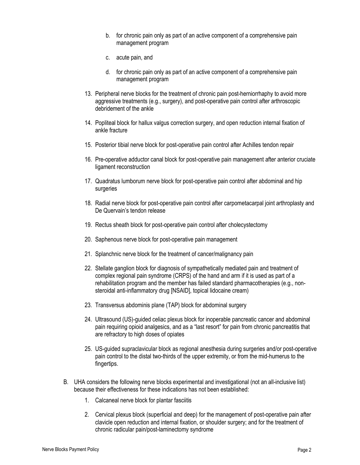- b. for chronic pain only as part of an active component of a comprehensive pain management program
- c. acute pain, and
- d. for chronic pain only as part of an active component of a comprehensive pain management program
- 13. Peripheral nerve blocks for the treatment of chronic pain post-herniorrhaphy to avoid more aggressive treatments (e.g., surgery), and post-operative pain control after arthroscopic debridement of the ankle
- 14. Popliteal block for hallux valgus correction surgery, and open reduction internal fixation of ankle fracture
- 15. Posterior tibial nerve block for post-operative pain control after Achilles tendon repair
- 16. Pre-operative adductor canal block for post-operative pain management after anterior cruciate ligament reconstruction
- 17. Quadratus lumborum nerve block for post-operative pain control after abdominal and hip surgeries
- 18. Radial nerve block for post-operative pain control after carpometacarpal joint arthroplasty and De Quervain's tendon release
- 19. Rectus sheath block for post-operative pain control after cholecystectomy
- 20. Saphenous nerve block for post-operative pain management
- 21. Splanchnic nerve block for the treatment of cancer/malignancy pain
- 22. Stellate ganglion block for diagnosis of sympathetically mediated pain and treatment of complex regional pain syndrome (CRPS) of the hand and arm if it is used as part of a rehabilitation program and the member has failed standard pharmacotherapies (e.g., nonsteroidal anti-inflammatory drug [NSAID], topical lidocaine cream)
- 23. Transversus abdominis plane (TAP) block for abdominal surgery
- 24. Ultrasound (US)-guided celiac plexus block for inoperable pancreatic cancer and abdominal pain requiring opioid analgesics, and as a "last resort" for pain from chronic pancreatitis that are refractory to high doses of opiates
- 25. US-guided supraclavicular block as regional anesthesia during surgeries and/or post-operative pain control to the distal two-thirds of the upper extremity, or from the mid-humerus to the fingertips.
- B. UHA considers the following nerve blocks experimental and investigational (not an all-inclusive list) because their effectiveness for these indications has not been established:
	- 1. Calcaneal nerve block for plantar fasciitis
	- 2. Cervical plexus block (superficial and deep) for the management of post-operative pain after clavicle open reduction and internal fixation, or shoulder surgery; and for the treatment of chronic radicular pain/post-laminectomy syndrome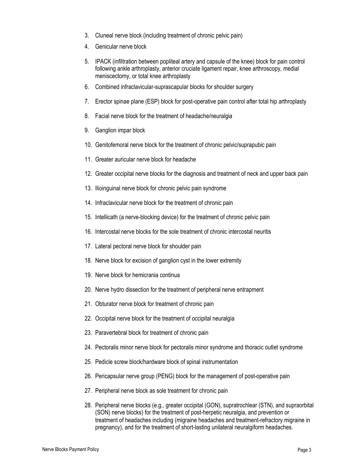- 3. Cluneal nerve block (including treatment of chronic pelvic pain)
- 4. Genicular nerve block
- 5. IPACK (infiltration between popliteal artery and capsule of the knee) block for pain control following ankle arthroplasty, anterior cruciate ligament repair, knee arthroscopy, medial meniscectomy, or total knee arthroplasty
- 6. Combined infraclavicular-suprascapular blocks for shoulder surgery
- 7. Erector spinae plane (ESP) block for post-operative pain control after total hip arthroplasty
- 8. Facial nerve block for the treatment of headache/neuralgia
- 9. Ganglion impar block
- 10. Genitofemoral nerve block for the treatment of chronic pelvic/suprapubic pain
- 11. Greater auricular nerve block for headache
- 12. Greater occipital nerve blocks for the diagnosis and treatment of neck and upper back pain
- 13. Ilioinguinal nerve block for chronic pelvic pain syndrome
- 14. Infraclavicular nerve block for the treatment of chronic pain
- 15. Intellicath (a nerve-blocking device) for the treatment of chronic pelvic pain
- 16. Intercostal nerve blocks for the sole treatment of chronic intercostal neuritis
- 17. Lateral pectoral nerve block for shoulder pain
- 18. Nerve block for excision of ganglion cyst in the lower extremity
- 19. Nerve block for hemicrania continua
- 20. Nerve hydro dissection for the treatment of peripheral nerve entrapment
- 21. Obturator nerve block for treatment of chronic pain
- 22. Occipital nerve block for the treatment of occipital neuralgia
- 23. Paravertebral block for treatment of chronic pain
- 24. Pectoralis minor nerve block for pectoralis minor syndrome and thoracic outlet syndrome
- 25. Pedicle screw block/hardware block of spinal instrumentation
- 26. Pericapsular nerve group (PENG) block for the management of post-operative pain
- 27. Peripheral nerve block as sole treatment for chronic pain
- 28. Peripheral nerve blocks (e.g., greater occipital (GON), supratrochlear (STN), and supraorbital (SON) nerve blocks) for the treatment of post-herpetic neuralgia, and prevention or treatment of headaches including (migraine headaches and treatment-refractory migraine in pregnancy), and for the treatment of short-lasting unilateral neuralgiform headaches.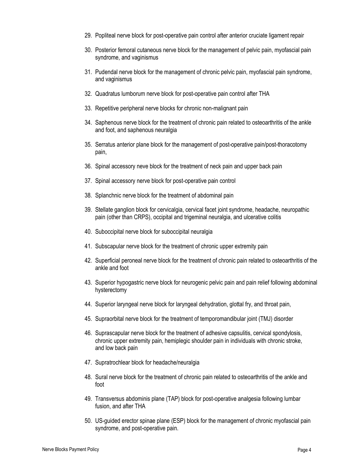- 29. Popliteal nerve block for post-operative pain control after anterior cruciate ligament repair
- 30. Posterior femoral cutaneous nerve block for the management of pelvic pain, myofascial pain syndrome, and vaginismus
- 31. Pudendal nerve block for the management of chronic pelvic pain, myofascial pain syndrome, and vaginismus
- 32. Quadratus lumborum nerve block for post-operative pain control after THA
- 33. Repetitive peripheral nerve blocks for chronic non-malignant pain
- 34. Saphenous nerve block for the treatment of chronic pain related to osteoarthritis of the ankle and foot, and saphenous neuralgia
- 35. Serratus anterior plane block for the management of post-operative pain/post-thoracotomy pain,
- 36. Spinal accessory neve block for the treatment of neck pain and upper back pain
- 37. Spinal accessory nerve block for post-operative pain control
- 38. Splanchnic nerve block for the treatment of abdominal pain
- 39. Stellate ganglion block for cervicalgia, cervical facet joint syndrome, headache, neuropathic pain (other than CRPS), occipital and trigeminal neuralgia, and ulcerative colitis
- 40. Suboccipital nerve block for suboccipital neuralgia
- 41. Subscapular nerve block for the treatment of chronic upper extremity pain
- 42. Superficial peroneal nerve block for the treatment of chronic pain related to osteoarthritis of the ankle and foot
- 43. Superior hypogastric nerve block for neurogenic pelvic pain and pain relief following abdominal hysterectomy
- 44. Superior laryngeal nerve block for laryngeal dehydration, glottal fry, and throat pain,
- 45. Supraorbital nerve block for the treatment of temporomandibular joint (TMJ) disorder
- 46. Suprascapular nerve block for the treatment of adhesive capsulitis, cervical spondylosis, chronic upper extremity pain, hemiplegic shoulder pain in individuals with chronic stroke, and low back pain
- 47. Supratrochlear block for headache/neuralgia
- 48. Sural nerve block for the treatment of chronic pain related to osteoarthritis of the ankle and foot
- 49. Transversus abdominis plane (TAP) block for post-operative analgesia following lumbar fusion, and after THA
- 50. US-guided erector spinae plane (ESP) block for the management of chronic myofascial pain syndrome, and post-operative pain.